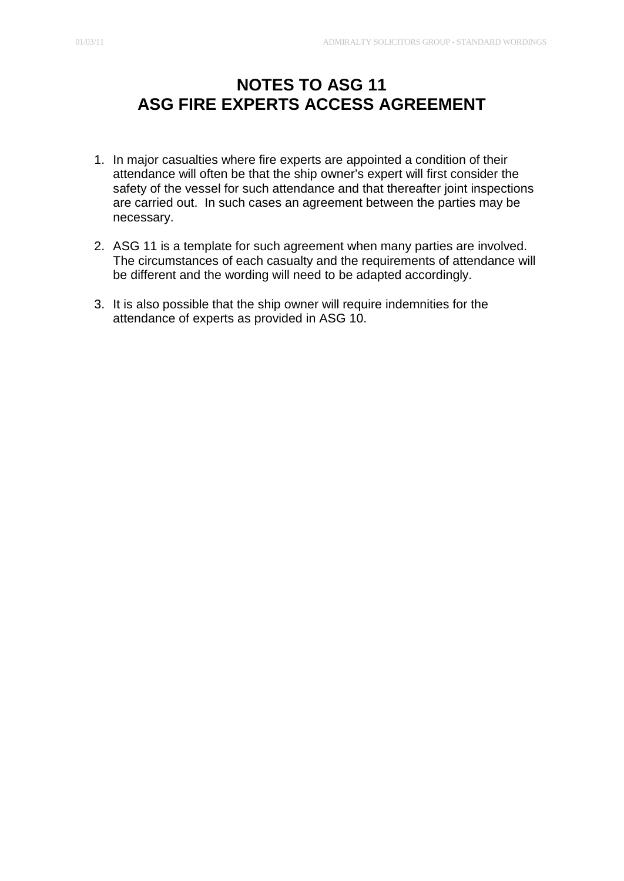## **NOTES TO ASG 11 ASG FIRE EXPERTS ACCESS AGREEMENT**

- 1. In major casualties where fire experts are appointed a condition of their attendance will often be that the ship owner's expert will first consider the safety of the vessel for such attendance and that thereafter joint inspections are carried out. In such cases an agreement between the parties may be necessary.
- 2. ASG 11 is a template for such agreement when many parties are involved. The circumstances of each casualty and the requirements of attendance will be different and the wording will need to be adapted accordingly.
- 3. It is also possible that the ship owner will require indemnities for the attendance of experts as provided in ASG 10.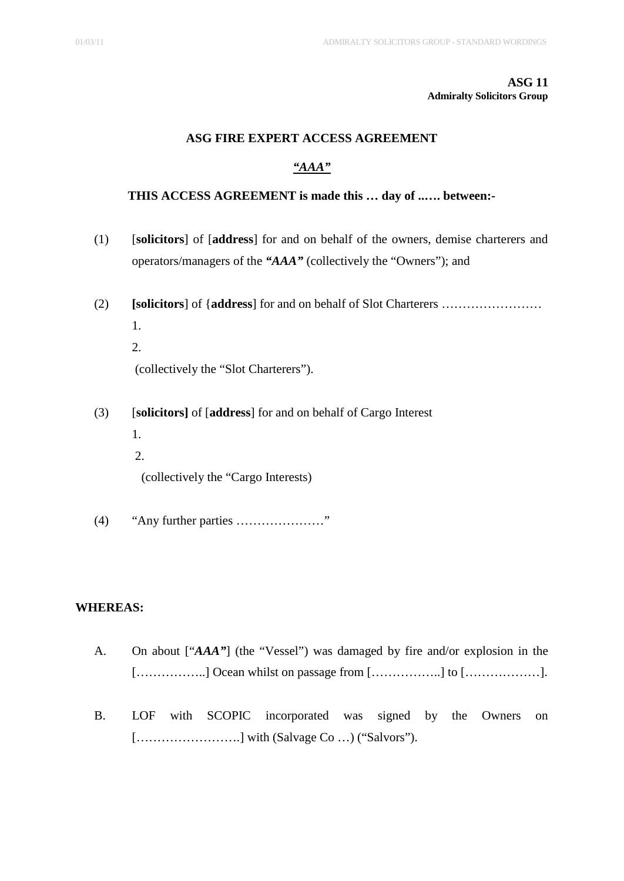#### **ASG 11 Admiralty Solicitors Group**

#### **ASG FIRE EXPERT ACCESS AGREEMENT**

### *"AAA"*

#### **THIS ACCESS AGREEMENT is made this … day of ..…. between:-**

- (1) [**solicitors**] of [**address**] for and on behalf of the owners, demise charterers and operators/managers of the *"AAA"* (collectively the "Owners"); and
- (2) **[solicitors**] of {**address**] for and on behalf of Slot Charterers …………………… 1. 2.

(collectively the "Slot Charterers").

- (3) [**solicitors]** of [**address**] for and on behalf of Cargo Interest 1.
	- 2.

(collectively the "Cargo Interests)

(4) "Any further parties …………………"

#### **WHEREAS:**

- A. On about ["*AAA"*] (the "Vessel") was damaged by fire and/or explosion in the  $[\dots, \dots, \dots]$  Ocean whilst on passage from  $[\dots, \dots, \dots]$  to  $[\dots, \dots, \dots]$ .
- B. LOF with SCOPIC incorporated was signed by the Owners on […………………….] with (Salvage Co …) ("Salvors").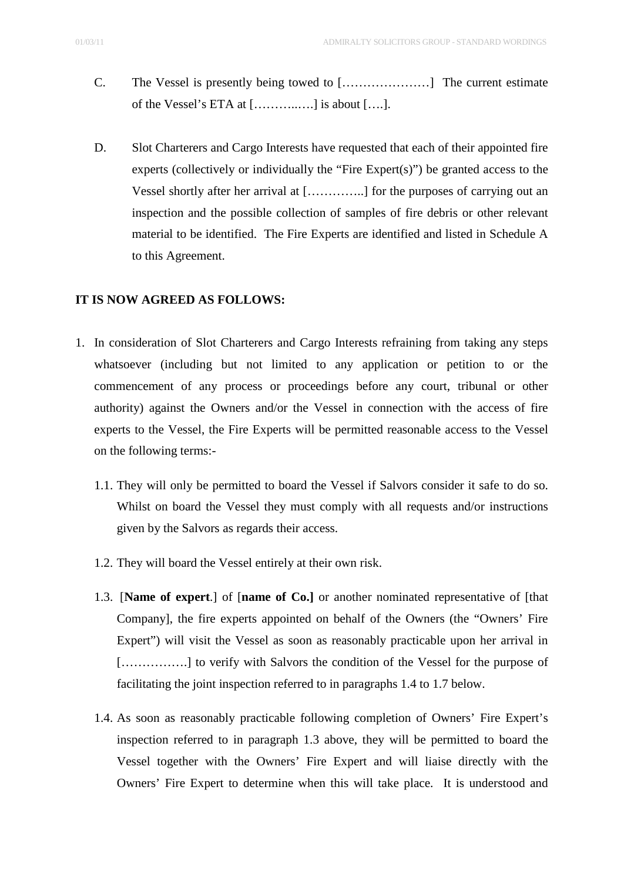- C. The Vessel is presently being towed to […………………] The current estimate of the Vessel's ETA at  $[\dots, \dots, \dots]$  is about  $[\dots].$
- D. Slot Charterers and Cargo Interests have requested that each of their appointed fire experts (collectively or individually the "Fire Expert(s)") be granted access to the Vessel shortly after her arrival at […………..] for the purposes of carrying out an inspection and the possible collection of samples of fire debris or other relevant material to be identified. The Fire Experts are identified and listed in Schedule A to this Agreement.

#### **IT IS NOW AGREED AS FOLLOWS:**

- 1. In consideration of Slot Charterers and Cargo Interests refraining from taking any steps whatsoever (including but not limited to any application or petition to or the commencement of any process or proceedings before any court, tribunal or other authority) against the Owners and/or the Vessel in connection with the access of fire experts to the Vessel, the Fire Experts will be permitted reasonable access to the Vessel on the following terms:-
	- 1.1. They will only be permitted to board the Vessel if Salvors consider it safe to do so. Whilst on board the Vessel they must comply with all requests and/or instructions given by the Salvors as regards their access.
	- 1.2. They will board the Vessel entirely at their own risk.
	- 1.3. [**Name of expert**.] of [**name of Co.]** or another nominated representative of [that Company], the fire experts appointed on behalf of the Owners (the "Owners' Fire Expert") will visit the Vessel as soon as reasonably practicable upon her arrival in [................] to verify with Salvors the condition of the Vessel for the purpose of facilitating the joint inspection referred to in paragraphs 1.4 to 1.7 below.
	- 1.4. As soon as reasonably practicable following completion of Owners' Fire Expert's inspection referred to in paragraph 1.3 above, they will be permitted to board the Vessel together with the Owners' Fire Expert and will liaise directly with the Owners' Fire Expert to determine when this will take place. It is understood and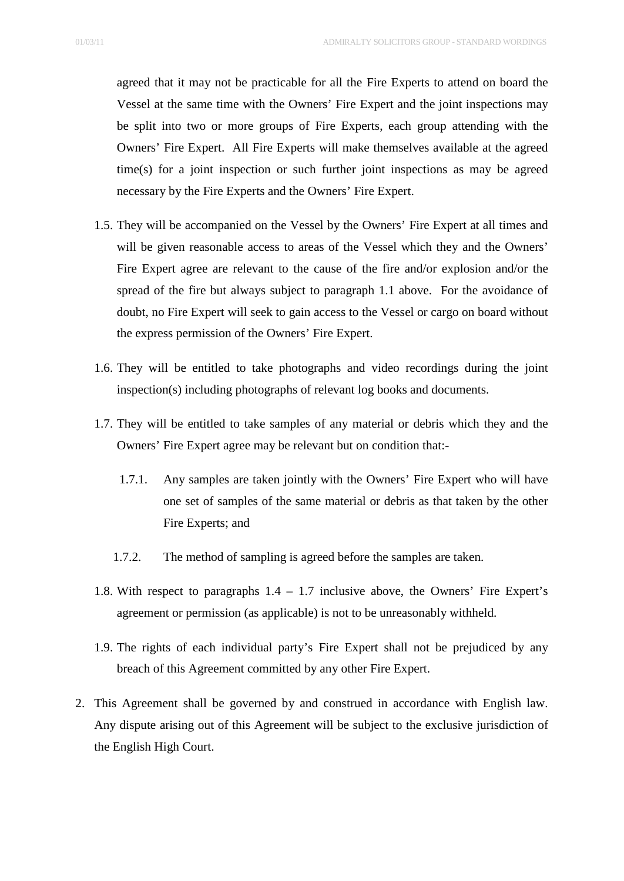agreed that it may not be practicable for all the Fire Experts to attend on board the Vessel at the same time with the Owners' Fire Expert and the joint inspections may be split into two or more groups of Fire Experts, each group attending with the Owners' Fire Expert. All Fire Experts will make themselves available at the agreed time(s) for a joint inspection or such further joint inspections as may be agreed necessary by the Fire Experts and the Owners' Fire Expert.

- 1.5. They will be accompanied on the Vessel by the Owners' Fire Expert at all times and will be given reasonable access to areas of the Vessel which they and the Owners' Fire Expert agree are relevant to the cause of the fire and/or explosion and/or the spread of the fire but always subject to paragraph 1.1 above. For the avoidance of doubt, no Fire Expert will seek to gain access to the Vessel or cargo on board without the express permission of the Owners' Fire Expert.
- 1.6. They will be entitled to take photographs and video recordings during the joint inspection(s) including photographs of relevant log books and documents.
- 1.7. They will be entitled to take samples of any material or debris which they and the Owners' Fire Expert agree may be relevant but on condition that:-
	- 1.7.1. Any samples are taken jointly with the Owners' Fire Expert who will have one set of samples of the same material or debris as that taken by the other Fire Experts; and
	- 1.7.2. The method of sampling is agreed before the samples are taken.
- 1.8. With respect to paragraphs 1.4 1.7 inclusive above, the Owners' Fire Expert's agreement or permission (as applicable) is not to be unreasonably withheld.
- 1.9. The rights of each individual party's Fire Expert shall not be prejudiced by any breach of this Agreement committed by any other Fire Expert.
- 2. This Agreement shall be governed by and construed in accordance with English law. Any dispute arising out of this Agreement will be subject to the exclusive jurisdiction of the English High Court.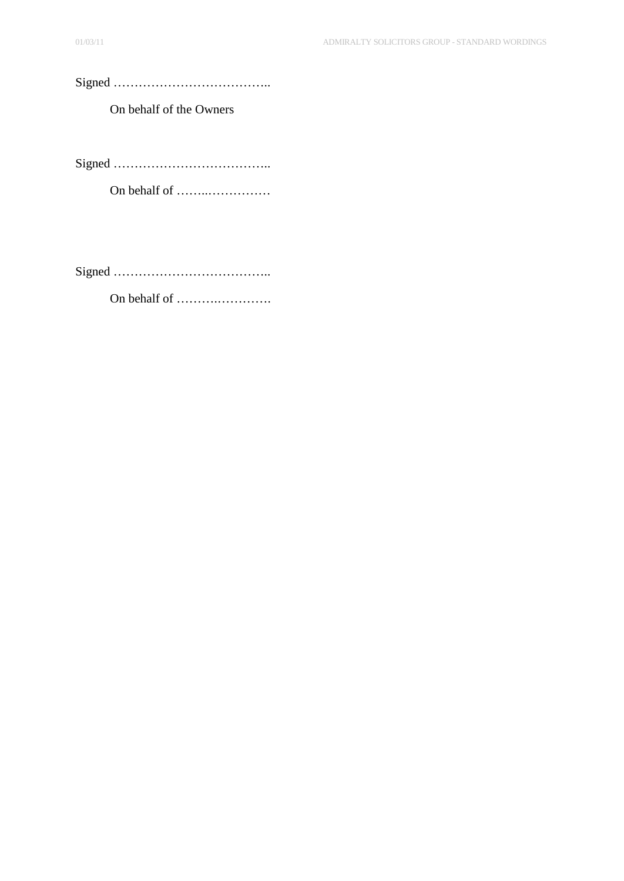## Signed ………………………………..

On behalf of the Owners

Signed ………………………………..

On behalf of ……..……………

Signed ………………………………..

On behalf of ……….………….